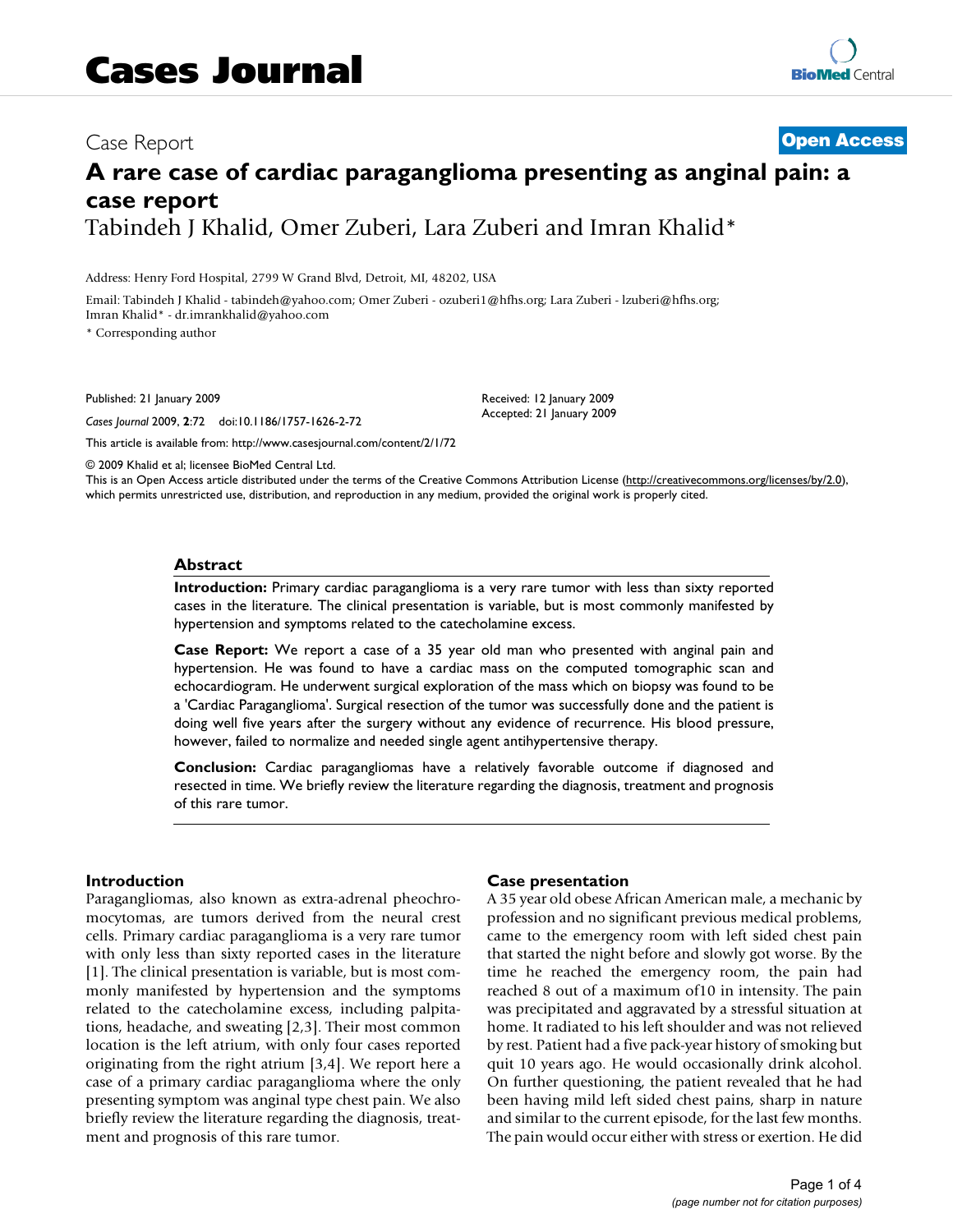# Case Report **[Open Access](http://www.biomedcentral.com/info/about/charter/) A rare case of cardiac paraganglioma presenting as anginal pain: a case report** Tabindeh J Khalid, Omer Zuberi, Lara Zuberi and Imran Khalid\*

Address: Henry Ford Hospital, 2799 W Grand Blvd, Detroit, MI, 48202, USA

Email: Tabindeh J Khalid - tabindeh@yahoo.com; Omer Zuberi - ozuberi1@hfhs.org; Lara Zuberi - lzuberi@hfhs.org; Imran Khalid\* - dr.imrankhalid@yahoo.com

\* Corresponding author

Published: 21 January 2009

*Cases Journal* 2009, **2**:72 doi:10.1186/1757-1626-2-72

[This article is available from: http://www.casesjournal.com/content/2/1/72](http://www.casesjournal.com/content/2/1/72)

© 2009 Khalid et al; licensee BioMed Central Ltd. This is an Open Access article distributed under the terms of the Creative Commons Attribution License [\(http://creativecommons.org/licenses/by/2.0\)](http://creativecommons.org/licenses/by/2.0), which permits unrestricted use, distribution, and reproduction in any medium, provided the original work is properly cited.

#### **Abstract**

**Introduction:** Primary cardiac paraganglioma is a very rare tumor with less than sixty reported cases in the literature. The clinical presentation is variable, but is most commonly manifested by hypertension and symptoms related to the catecholamine excess.

**Case Report:** We report a case of a 35 year old man who presented with anginal pain and hypertension. He was found to have a cardiac mass on the computed tomographic scan and echocardiogram. He underwent surgical exploration of the mass which on biopsy was found to be a 'Cardiac Paraganglioma'. Surgical resection of the tumor was successfully done and the patient is doing well five years after the surgery without any evidence of recurrence. His blood pressure, however, failed to normalize and needed single agent antihypertensive therapy.

**Conclusion:** Cardiac paragangliomas have a relatively favorable outcome if diagnosed and resected in time. We briefly review the literature regarding the diagnosis, treatment and prognosis of this rare tumor.

#### **Introduction**

Paragangliomas, also known as extra-adrenal pheochromocytomas, are tumors derived from the neural crest cells. Primary cardiac paraganglioma is a very rare tumor with only less than sixty reported cases in the literature [1]. The clinical presentation is variable, but is most commonly manifested by hypertension and the symptoms related to the catecholamine excess, including palpitations, headache, and sweating [2,3]. Their most common location is the left atrium, with only four cases reported originating from the right atrium [3,4]. We report here a case of a primary cardiac paraganglioma where the only presenting symptom was anginal type chest pain. We also briefly review the literature regarding the diagnosis, treatment and prognosis of this rare tumor.

#### **Case presentation**

Received: 12 January 2009 Accepted: 21 January 2009

A 35 year old obese African American male, a mechanic by profession and no significant previous medical problems, came to the emergency room with left sided chest pain that started the night before and slowly got worse. By the time he reached the emergency room, the pain had reached 8 out of a maximum of10 in intensity. The pain was precipitated and aggravated by a stressful situation at home. It radiated to his left shoulder and was not relieved by rest. Patient had a five pack-year history of smoking but quit 10 years ago. He would occasionally drink alcohol. On further questioning, the patient revealed that he had been having mild left sided chest pains, sharp in nature and similar to the current episode, for the last few months. The pain would occur either with stress or exertion. He did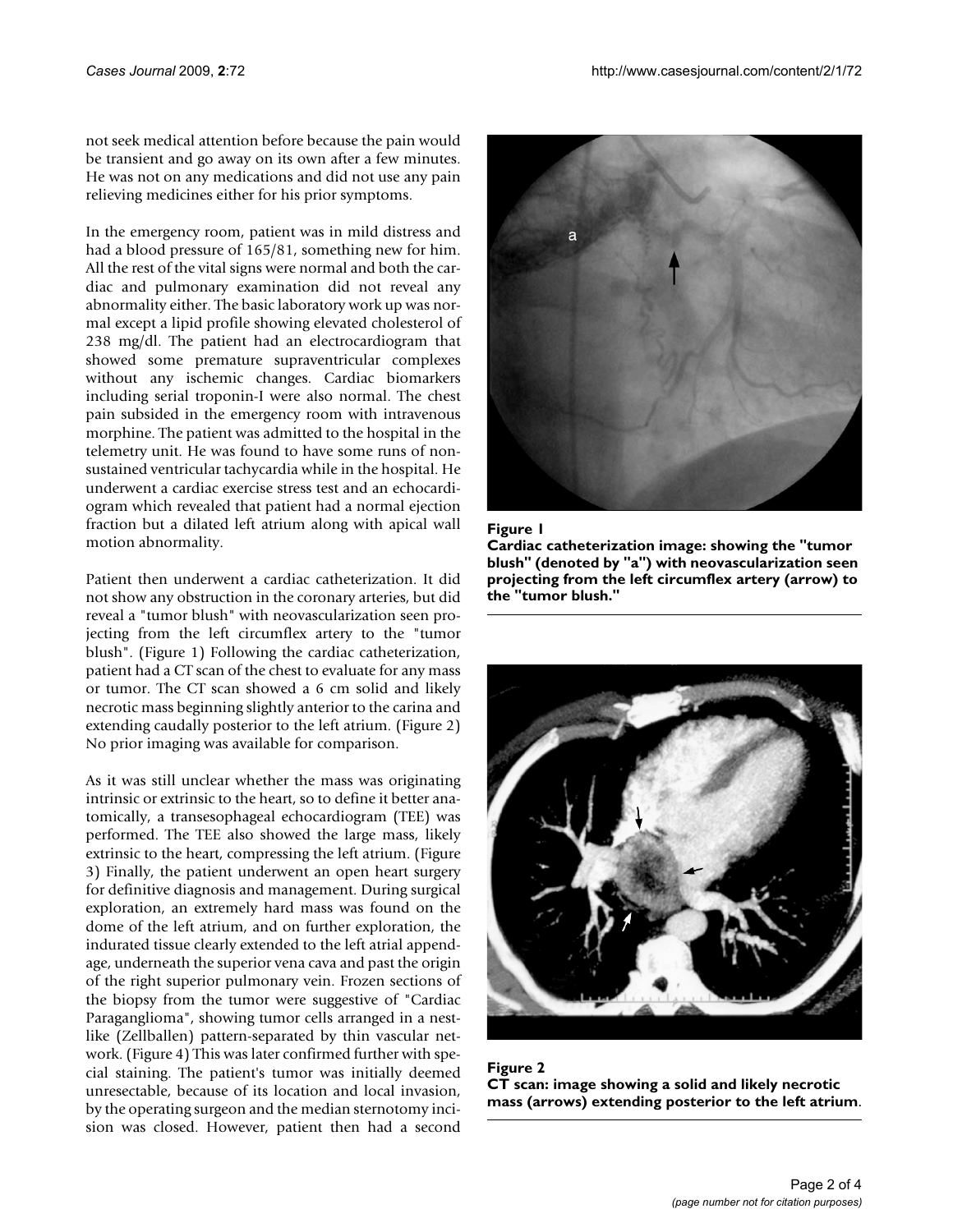not seek medical attention before because the pain would be transient and go away on its own after a few minutes. He was not on any medications and did not use any pain relieving medicines either for his prior symptoms.

In the emergency room, patient was in mild distress and had a blood pressure of 165/81, something new for him. All the rest of the vital signs were normal and both the cardiac and pulmonary examination did not reveal any abnormality either. The basic laboratory work up was normal except a lipid profile showing elevated cholesterol of 238 mg/dl. The patient had an electrocardiogram that showed some premature supraventricular complexes without any ischemic changes. Cardiac biomarkers including serial troponin-I were also normal. The chest pain subsided in the emergency room with intravenous morphine. The patient was admitted to the hospital in the telemetry unit. He was found to have some runs of nonsustained ventricular tachycardia while in the hospital. He underwent a cardiac exercise stress test and an echocardiogram which revealed that patient had a normal ejection fraction but a dilated left atrium along with apical wall motion abnormality.

Patient then underwent a cardiac catheterization. It did not show any obstruction in the coronary arteries, but did reveal a "tumor blush" with neovascularization seen projecting from the left circumflex artery to the "tumor blush". (Figure 1) Following the cardiac catheterization, patient had a CT scan of the chest to evaluate for any mass or tumor. The CT scan showed a 6 cm solid and likely necrotic mass beginning slightly anterior to the carina and extending caudally posterior to the left atrium. (Figure 2) No prior imaging was available for comparison.

As it was still unclear whether the mass was originating intrinsic or extrinsic to the heart, so to define it better anatomically, a transesophageal echocardiogram (TEE) was performed. The TEE also showed the large mass, likely extrinsic to the heart, compressing the left atrium. (Figure 3) Finally, the patient underwent an open heart surgery for definitive diagnosis and management. During surgical exploration, an extremely hard mass was found on the dome of the left atrium, and on further exploration, the indurated tissue clearly extended to the left atrial appendage, underneath the superior vena cava and past the origin of the right superior pulmonary vein. Frozen sections of the biopsy from the tumor were suggestive of "Cardiac Paraganglioma", showing tumor cells arranged in a nestlike (Zellballen) pattern-separated by thin vascular network. (Figure 4) This was later confirmed further with special staining. The patient's tumor was initially deemed unresectable, because of its location and local invasion, by the operating surgeon and the median sternotomy incision was closed. However, patient then had a second



#### Figure 1

**Cardiac catheterization image: showing the "tumor blush" (denoted by "a") with neovascularization seen projecting from the left circumflex artery (arrow) to the "tumor blush."**



Figure 2 **CT scan: image showing a solid and likely necrotic mass (arrows) extending posterior to the left atrium**.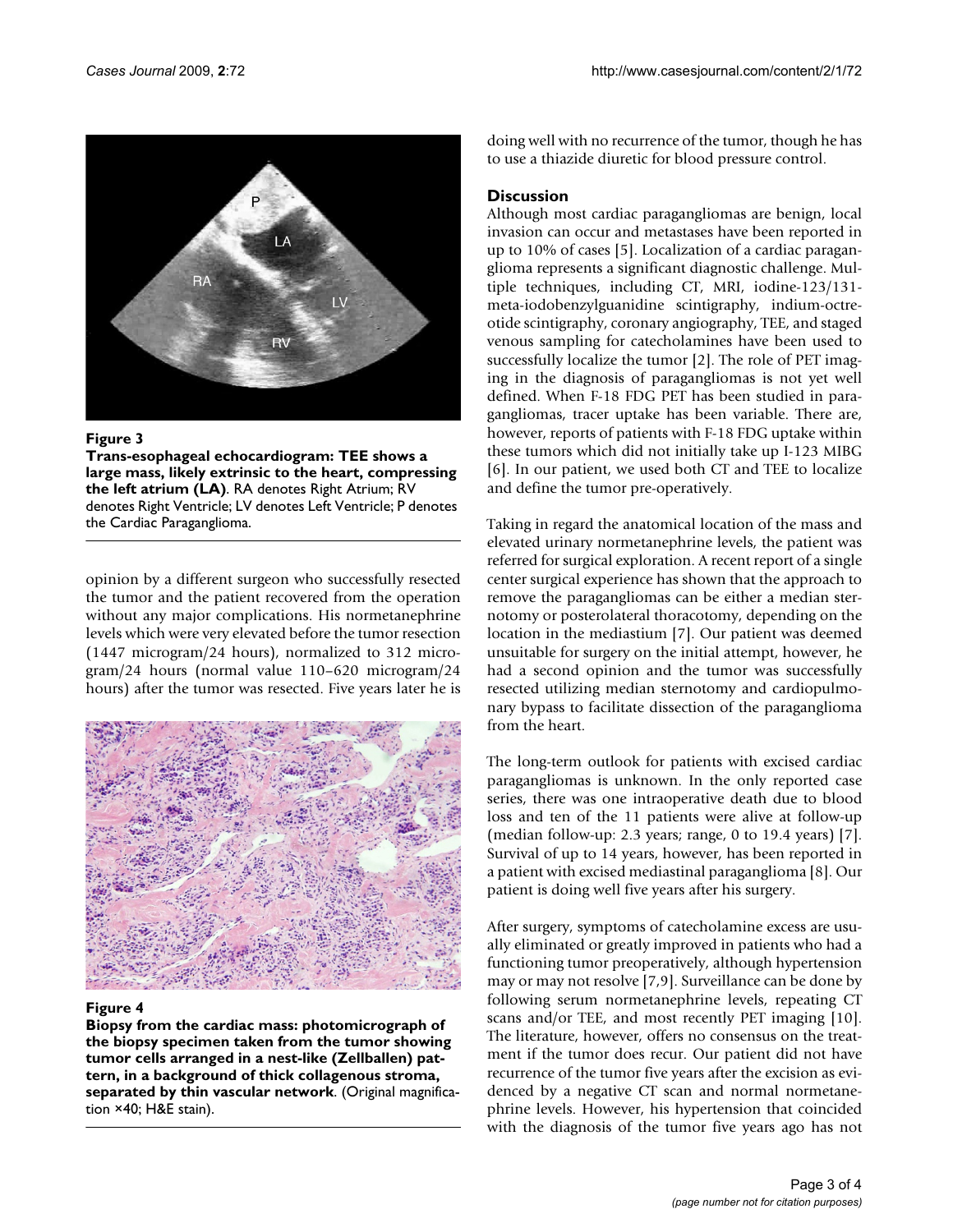

#### Figure 3

**Trans-esophageal echocardiogram: TEE shows a large mass, likely extrinsic to the heart, compressing the left atrium (LA)**. RA denotes Right Atrium; RV denotes Right Ventricle; LV denotes Left Ventricle; P denotes the Cardiac Paraganglioma.

opinion by a different surgeon who successfully resected the tumor and the patient recovered from the operation without any major complications. His normetanephrine levels which were very elevated before the tumor resection (1447 microgram/24 hours), normalized to 312 microgram/24 hours (normal value 110–620 microgram/24 hours) after the tumor was resected. Five years later he is



#### Figure 4

**Biopsy from the cardiac mass: photomicrograph of the biopsy specimen taken from the tumor showing tumor cells arranged in a nest-like (Zellballen) pattern, in a background of thick collagenous stroma, separated by thin vascular network**. (Original magnification ×40; H&E stain).

doing well with no recurrence of the tumor, though he has to use a thiazide diuretic for blood pressure control.

# **Discussion**

Although most cardiac paragangliomas are benign, local invasion can occur and metastases have been reported in up to 10% of cases [5]. Localization of a cardiac paraganglioma represents a significant diagnostic challenge. Multiple techniques, including CT, MRI, iodine-123/131 meta-iodobenzylguanidine scintigraphy, indium-octreotide scintigraphy, coronary angiography, TEE, and staged venous sampling for catecholamines have been used to successfully localize the tumor [2]. The role of PET imaging in the diagnosis of paragangliomas is not yet well defined. When F-18 FDG PET has been studied in paragangliomas, tracer uptake has been variable. There are, however, reports of patients with F-18 FDG uptake within these tumors which did not initially take up I-123 MIBG [6]. In our patient, we used both CT and TEE to localize and define the tumor pre-operatively.

Taking in regard the anatomical location of the mass and elevated urinary normetanephrine levels, the patient was referred for surgical exploration. A recent report of a single center surgical experience has shown that the approach to remove the paragangliomas can be either a median sternotomy or posterolateral thoracotomy, depending on the location in the mediastium [7]. Our patient was deemed unsuitable for surgery on the initial attempt, however, he had a second opinion and the tumor was successfully resected utilizing median sternotomy and cardiopulmonary bypass to facilitate dissection of the paraganglioma from the heart.

The long-term outlook for patients with excised cardiac paragangliomas is unknown. In the only reported case series, there was one intraoperative death due to blood loss and ten of the 11 patients were alive at follow-up (median follow-up: 2.3 years; range, 0 to 19.4 years) [7]. Survival of up to 14 years, however, has been reported in a patient with excised mediastinal paraganglioma [8]. Our patient is doing well five years after his surgery.

After surgery, symptoms of catecholamine excess are usually eliminated or greatly improved in patients who had a functioning tumor preoperatively, although hypertension may or may not resolve [7,9]. Surveillance can be done by following serum normetanephrine levels, repeating CT scans and/or TEE, and most recently PET imaging [10]. The literature, however, offers no consensus on the treatment if the tumor does recur. Our patient did not have recurrence of the tumor five years after the excision as evidenced by a negative CT scan and normal normetanephrine levels. However, his hypertension that coincided with the diagnosis of the tumor five years ago has not